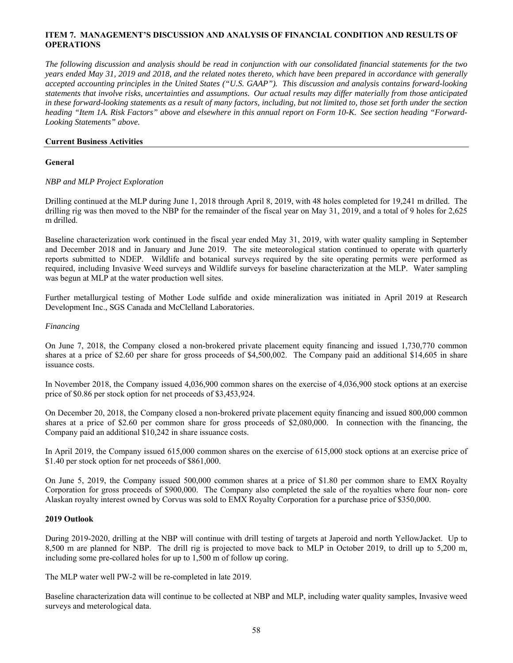# **ITEM 7. MANAGEMENT'S DISCUSSION AND ANALYSIS OF FINANCIAL CONDITION AND RESULTS OF OPERATIONS**

*The following discussion and analysis should be read in conjunction with our consolidated financial statements for the two years ended May 31, 2019 and 2018, and the related notes thereto, which have been prepared in accordance with generally accepted accounting principles in the United States ("U.S. GAAP"). This discussion and analysis contains forward-looking statements that involve risks, uncertainties and assumptions. Our actual results may differ materially from those anticipated in these forward-looking statements as a result of many factors, including, but not limited to, those set forth under the section heading "Item 1A. Risk Factors" above and elsewhere in this annual report on Form 10-K. See section heading "Forward-Looking Statements" above.*

# **Current Business Activities**

## **General**

# *NBP and MLP Project Exploration*

Drilling continued at the MLP during June 1, 2018 through April 8, 2019, with 48 holes completed for 19,241 m drilled. The drilling rig was then moved to the NBP for the remainder of the fiscal year on May 31, 2019, and a total of 9 holes for 2,625 m drilled.

Baseline characterization work continued in the fiscal year ended May 31, 2019, with water quality sampling in September and December 2018 and in January and June 2019. The site meteorological station continued to operate with quarterly reports submitted to NDEP. Wildlife and botanical surveys required by the site operating permits were performed as required, including Invasive Weed surveys and Wildlife surveys for baseline characterization at the MLP. Water sampling was begun at MLP at the water production well sites.

Further metallurgical testing of Mother Lode sulfide and oxide mineralization was initiated in April 2019 at Research Development Inc., SGS Canada and McClelland Laboratories.

# *Financing*

On June 7, 2018, the Company closed a non-brokered private placement equity financing and issued 1,730,770 common shares at a price of \$2.60 per share for gross proceeds of \$4,500,002. The Company paid an additional \$14,605 in share issuance costs.

In November 2018, the Company issued 4,036,900 common shares on the exercise of 4,036,900 stock options at an exercise price of \$0.86 per stock option for net proceeds of \$3,453,924.

On December 20, 2018, the Company closed a non-brokered private placement equity financing and issued 800,000 common shares at a price of \$2.60 per common share for gross proceeds of \$2,080,000. In connection with the financing, the Company paid an additional \$10,242 in share issuance costs.

In April 2019, the Company issued 615,000 common shares on the exercise of 615,000 stock options at an exercise price of \$1.40 per stock option for net proceeds of \$861,000.

On June 5, 2019, the Company issued 500,000 common shares at a price of \$1.80 per common share to EMX Royalty Corporation for gross proceeds of \$900,000. The Company also completed the sale of the royalties where four non- core Alaskan royalty interest owned by Corvus was sold to EMX Royalty Corporation for a purchase price of \$350,000.

#### **2019 Outlook**

During 2019-2020, drilling at the NBP will continue with drill testing of targets at Japeroid and north YellowJacket. Up to 8,500 m are planned for NBP. The drill rig is projected to move back to MLP in October 2019, to drill up to 5,200 m, including some pre-collared holes for up to 1,500 m of follow up coring.

The MLP water well PW-2 will be re-completed in late 2019.

Baseline characterization data will continue to be collected at NBP and MLP, including water quality samples, Invasive weed surveys and meterological data.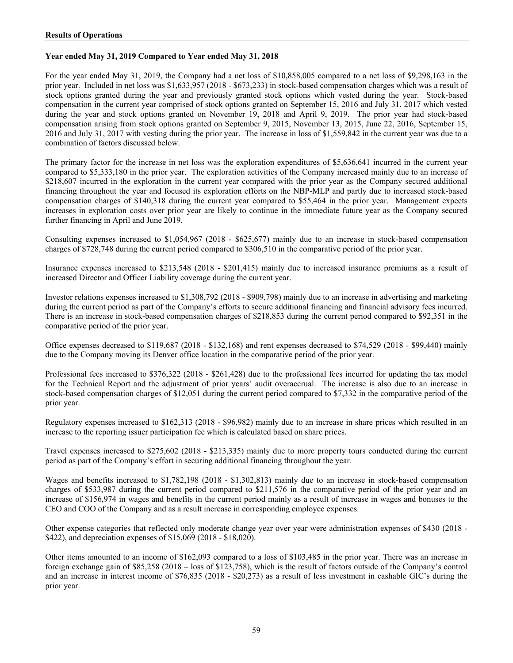# **Year ended May 31, 2019 Compared to Year ended May 31, 2018**

For the year ended May 31, 2019, the Company had a net loss of \$10,858,005 compared to a net loss of \$9,298,163 in the prior year. Included in net loss was \$1,633,957 (2018 - \$673,233) in stock-based compensation charges which was a result of stock options granted during the year and previously granted stock options which vested during the year. Stock-based compensation in the current year comprised of stock options granted on September 15, 2016 and July 31, 2017 which vested during the year and stock options granted on November 19, 2018 and April 9, 2019. The prior year had stock-based compensation arising from stock options granted on September 9, 2015, November 13, 2015, June 22, 2016, September 15, 2016 and July 31, 2017 with vesting during the prior year. The increase in loss of \$1,559,842 in the current year was due to a combination of factors discussed below.

The primary factor for the increase in net loss was the exploration expenditures of \$5,636,641 incurred in the current year compared to \$5,333,180 in the prior year. The exploration activities of the Company increased mainly due to an increase of \$218,607 incurred in the exploration in the current year compared with the prior year as the Company secured additional financing throughout the year and focused its exploration efforts on the NBP-MLP and partly due to increased stock-based compensation charges of \$140,318 during the current year compared to \$55,464 in the prior year. Management expects increases in exploration costs over prior year are likely to continue in the immediate future year as the Company secured further financing in April and June 2019.

Consulting expenses increased to \$1,054,967 (2018 - \$625,677) mainly due to an increase in stock-based compensation charges of \$728,748 during the current period compared to \$306,510 in the comparative period of the prior year.

Insurance expenses increased to \$213,548 (2018 - \$201,415) mainly due to increased insurance premiums as a result of increased Director and Officer Liability coverage during the current year.

Investor relations expenses increased to \$1,308,792 (2018 - \$909,798) mainly due to an increase in advertising and marketing during the current period as part of the Company's efforts to secure additional financing and financial advisory fees incurred. There is an increase in stock-based compensation charges of \$218,853 during the current period compared to \$92,351 in the comparative period of the prior year.

Office expenses decreased to \$119,687 (2018 - \$132,168) and rent expenses decreased to \$74,529 (2018 - \$99,440) mainly due to the Company moving its Denver office location in the comparative period of the prior year.

Professional fees increased to \$376,322 (2018 - \$261,428) due to the professional fees incurred for updating the tax model for the Technical Report and the adjustment of prior years' audit overaccrual. The increase is also due to an increase in stock-based compensation charges of \$12,051 during the current period compared to \$7,332 in the comparative period of the prior year.

Regulatory expenses increased to \$162,313 (2018 - \$96,982) mainly due to an increase in share prices which resulted in an increase to the reporting issuer participation fee which is calculated based on share prices.

Travel expenses increased to \$275,602 (2018 - \$213,335) mainly due to more property tours conducted during the current period as part of the Company's effort in securing additional financing throughout the year.

Wages and benefits increased to \$1,782,198 (2018 - \$1,302,813) mainly due to an increase in stock-based compensation charges of \$533,987 during the current period compared to \$211,576 in the comparative period of the prior year and an increase of \$156,974 in wages and benefits in the current period mainly as a result of increase in wages and bonuses to the CEO and COO of the Company and as a result increase in corresponding employee expenses.

Other expense categories that reflected only moderate change year over year were administration expenses of \$430 (2018 - \$422), and depreciation expenses of \$15,069 (2018 - \$18,020).

Other items amounted to an income of \$162,093 compared to a loss of \$103,485 in the prior year. There was an increase in foreign exchange gain of \$85,258 (2018 – loss of \$123,758), which is the result of factors outside of the Company's control and an increase in interest income of \$76,835 (2018 - \$20,273) as a result of less investment in cashable GIC's during the prior year.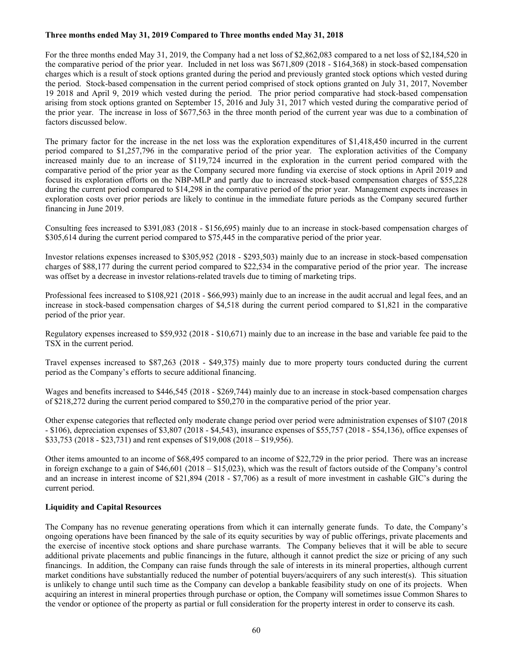# **Three months ended May 31, 2019 Compared to Three months ended May 31, 2018**

For the three months ended May 31, 2019, the Company had a net loss of \$2,862,083 compared to a net loss of \$2,184,520 in the comparative period of the prior year. Included in net loss was \$671,809 (2018 - \$164,368) in stock-based compensation charges which is a result of stock options granted during the period and previously granted stock options which vested during the period. Stock-based compensation in the current period comprised of stock options granted on July 31, 2017, November 19 2018 and April 9, 2019 which vested during the period. The prior period comparative had stock-based compensation arising from stock options granted on September 15, 2016 and July 31, 2017 which vested during the comparative period of the prior year. The increase in loss of \$677,563 in the three month period of the current year was due to a combination of factors discussed below.

The primary factor for the increase in the net loss was the exploration expenditures of \$1,418,450 incurred in the current period compared to \$1,257,796 in the comparative period of the prior year. The exploration activities of the Company increased mainly due to an increase of \$119,724 incurred in the exploration in the current period compared with the comparative period of the prior year as the Company secured more funding via exercise of stock options in April 2019 and focused its exploration efforts on the NBP-MLP and partly due to increased stock-based compensation charges of \$55,228 during the current period compared to \$14,298 in the comparative period of the prior year. Management expects increases in exploration costs over prior periods are likely to continue in the immediate future periods as the Company secured further financing in June 2019.

Consulting fees increased to \$391,083 (2018 - \$156,695) mainly due to an increase in stock-based compensation charges of \$305,614 during the current period compared to \$75,445 in the comparative period of the prior year.

Investor relations expenses increased to \$305,952 (2018 - \$293,503) mainly due to an increase in stock-based compensation charges of \$88,177 during the current period compared to \$22,534 in the comparative period of the prior year. The increase was offset by a decrease in investor relations-related travels due to timing of marketing trips.

Professional fees increased to \$108,921 (2018 - \$66,993) mainly due to an increase in the audit accrual and legal fees, and an increase in stock-based compensation charges of \$4,518 during the current period compared to \$1,821 in the comparative period of the prior year.

Regulatory expenses increased to \$59,932 (2018 - \$10,671) mainly due to an increase in the base and variable fee paid to the TSX in the current period.

Travel expenses increased to \$87,263 (2018 - \$49,375) mainly due to more property tours conducted during the current period as the Company's efforts to secure additional financing.

Wages and benefits increased to \$446,545 (2018 - \$269,744) mainly due to an increase in stock-based compensation charges of \$218,272 during the current period compared to \$50,270 in the comparative period of the prior year.

Other expense categories that reflected only moderate change period over period were administration expenses of \$107 (2018 - \$106), depreciation expenses of \$3,807 (2018 - \$4,543), insurance expenses of \$55,757 (2018 - \$54,136), office expenses of \$33,753 (2018 - \$23,731) and rent expenses of \$19,008 (2018 – \$19,956).

Other items amounted to an income of \$68,495 compared to an income of \$22,729 in the prior period. There was an increase in foreign exchange to a gain of \$46,601 (2018 – \$15,023), which was the result of factors outside of the Company's control and an increase in interest income of \$21,894 (2018 - \$7,706) as a result of more investment in cashable GIC's during the current period.

# **Liquidity and Capital Resources**

The Company has no revenue generating operations from which it can internally generate funds. To date, the Company's ongoing operations have been financed by the sale of its equity securities by way of public offerings, private placements and the exercise of incentive stock options and share purchase warrants. The Company believes that it will be able to secure additional private placements and public financings in the future, although it cannot predict the size or pricing of any such financings. In addition, the Company can raise funds through the sale of interests in its mineral properties, although current market conditions have substantially reduced the number of potential buyers/acquirers of any such interest(s). This situation is unlikely to change until such time as the Company can develop a bankable feasibility study on one of its projects. When acquiring an interest in mineral properties through purchase or option, the Company will sometimes issue Common Shares to the vendor or optionee of the property as partial or full consideration for the property interest in order to conserve its cash.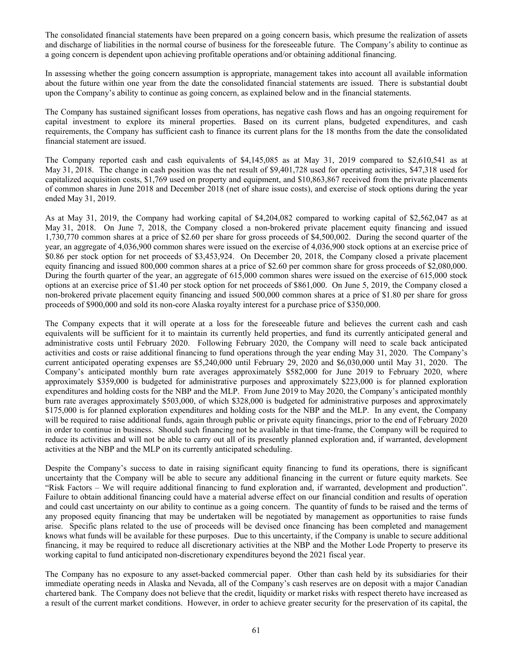The consolidated financial statements have been prepared on a going concern basis, which presume the realization of assets and discharge of liabilities in the normal course of business for the foreseeable future. The Company's ability to continue as a going concern is dependent upon achieving profitable operations and/or obtaining additional financing.

In assessing whether the going concern assumption is appropriate, management takes into account all available information about the future within one year from the date the consolidated financial statements are issued. There is substantial doubt upon the Company's ability to continue as going concern, as explained below and in the financial statements.

The Company has sustained significant losses from operations, has negative cash flows and has an ongoing requirement for capital investment to explore its mineral properties. Based on its current plans, budgeted expenditures, and cash requirements, the Company has sufficient cash to finance its current plans for the 18 months from the date the consolidated financial statement are issued.

The Company reported cash and cash equivalents of \$4,145,085 as at May 31, 2019 compared to \$2,610,541 as at May 31, 2018. The change in cash position was the net result of \$9,401,728 used for operating activities, \$47,318 used for capitalized acquisition costs, \$1,769 used on property and equipment, and \$10,863,867 received from the private placements of common shares in June 2018 and December 2018 (net of share issue costs), and exercise of stock options during the year ended May 31, 2019.

As at May 31, 2019, the Company had working capital of \$4,204,082 compared to working capital of \$2,562,047 as at May 31, 2018. On June 7, 2018, the Company closed a non-brokered private placement equity financing and issued 1,730,770 common shares at a price of \$2.60 per share for gross proceeds of \$4,500,002. During the second quarter of the year, an aggregate of 4,036,900 common shares were issued on the exercise of 4,036,900 stock options at an exercise price of \$0.86 per stock option for net proceeds of \$3,453,924. On December 20, 2018, the Company closed a private placement equity financing and issued 800,000 common shares at a price of \$2.60 per common share for gross proceeds of \$2,080,000. During the fourth quarter of the year, an aggregate of 615,000 common shares were issued on the exercise of 615,000 stock options at an exercise price of \$1.40 per stock option for net proceeds of \$861,000. On June 5, 2019, the Company closed a non-brokered private placement equity financing and issued 500,000 common shares at a price of \$1.80 per share for gross proceeds of \$900,000 and sold its non-core Alaska royalty interest for a purchase price of \$350,000.

The Company expects that it will operate at a loss for the foreseeable future and believes the current cash and cash equivalents will be sufficient for it to maintain its currently held properties, and fund its currently anticipated general and administrative costs until February 2020. Following February 2020, the Company will need to scale back anticipated activities and costs or raise additional financing to fund operations through the year ending May 31, 2020. The Company's current anticipated operating expenses are \$5,240,000 until February 29, 2020 and \$6,030,000 until May 31, 2020. The Company's anticipated monthly burn rate averages approximately \$582,000 for June 2019 to February 2020, where approximately \$359,000 is budgeted for administrative purposes and approximately \$223,000 is for planned exploration expenditures and holding costs for the NBP and the MLP. From June 2019 to May 2020, the Company's anticipated monthly burn rate averages approximately \$503,000, of which \$328,000 is budgeted for administrative purposes and approximately \$175,000 is for planned exploration expenditures and holding costs for the NBP and the MLP. In any event, the Company will be required to raise additional funds, again through public or private equity financings, prior to the end of February 2020 in order to continue in business. Should such financing not be available in that time-frame, the Company will be required to reduce its activities and will not be able to carry out all of its presently planned exploration and, if warranted, development activities at the NBP and the MLP on its currently anticipated scheduling.

Despite the Company's success to date in raising significant equity financing to fund its operations, there is significant uncertainty that the Company will be able to secure any additional financing in the current or future equity markets. See "Risk Factors – We will require additional financing to fund exploration and, if warranted, development and production". Failure to obtain additional financing could have a material adverse effect on our financial condition and results of operation and could cast uncertainty on our ability to continue as a going concern. The quantity of funds to be raised and the terms of any proposed equity financing that may be undertaken will be negotiated by management as opportunities to raise funds arise. Specific plans related to the use of proceeds will be devised once financing has been completed and management knows what funds will be available for these purposes. Due to this uncertainty, if the Company is unable to secure additional financing, it may be required to reduce all discretionary activities at the NBP and the Mother Lode Property to preserve its working capital to fund anticipated non-discretionary expenditures beyond the 2021 fiscal year.

The Company has no exposure to any asset-backed commercial paper. Other than cash held by its subsidiaries for their immediate operating needs in Alaska and Nevada, all of the Company's cash reserves are on deposit with a major Canadian chartered bank. The Company does not believe that the credit, liquidity or market risks with respect thereto have increased as a result of the current market conditions. However, in order to achieve greater security for the preservation of its capital, the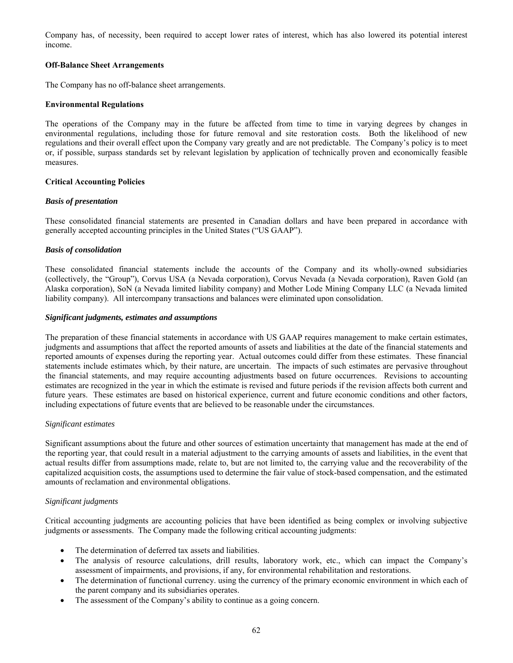Company has, of necessity, been required to accept lower rates of interest, which has also lowered its potential interest income.

# **Off-Balance Sheet Arrangements**

The Company has no off-balance sheet arrangements.

# **Environmental Regulations**

The operations of the Company may in the future be affected from time to time in varying degrees by changes in environmental regulations, including those for future removal and site restoration costs. Both the likelihood of new regulations and their overall effect upon the Company vary greatly and are not predictable. The Company's policy is to meet or, if possible, surpass standards set by relevant legislation by application of technically proven and economically feasible measures.

# **Critical Accounting Policies**

# *Basis of presentation*

These consolidated financial statements are presented in Canadian dollars and have been prepared in accordance with generally accepted accounting principles in the United States ("US GAAP").

# *Basis of consolidation*

These consolidated financial statements include the accounts of the Company and its wholly-owned subsidiaries (collectively, the "Group"), Corvus USA (a Nevada corporation), Corvus Nevada (a Nevada corporation), Raven Gold (an Alaska corporation), SoN (a Nevada limited liability company) and Mother Lode Mining Company LLC (a Nevada limited liability company). All intercompany transactions and balances were eliminated upon consolidation.

#### *Significant judgments, estimates and assumptions*

The preparation of these financial statements in accordance with US GAAP requires management to make certain estimates, judgments and assumptions that affect the reported amounts of assets and liabilities at the date of the financial statements and reported amounts of expenses during the reporting year. Actual outcomes could differ from these estimates. These financial statements include estimates which, by their nature, are uncertain. The impacts of such estimates are pervasive throughout the financial statements, and may require accounting adjustments based on future occurrences. Revisions to accounting estimates are recognized in the year in which the estimate is revised and future periods if the revision affects both current and future years. These estimates are based on historical experience, current and future economic conditions and other factors, including expectations of future events that are believed to be reasonable under the circumstances.

#### *Significant estimates*

Significant assumptions about the future and other sources of estimation uncertainty that management has made at the end of the reporting year, that could result in a material adjustment to the carrying amounts of assets and liabilities, in the event that actual results differ from assumptions made, relate to, but are not limited to, the carrying value and the recoverability of the capitalized acquisition costs, the assumptions used to determine the fair value of stock-based compensation, and the estimated amounts of reclamation and environmental obligations.

# *Significant judgments*

Critical accounting judgments are accounting policies that have been identified as being complex or involving subjective judgments or assessments. The Company made the following critical accounting judgments:

- The determination of deferred tax assets and liabilities.
- The analysis of resource calculations, drill results, laboratory work, etc., which can impact the Company's assessment of impairments, and provisions, if any, for environmental rehabilitation and restorations.
- The determination of functional currency. using the currency of the primary economic environment in which each of the parent company and its subsidiaries operates.
- The assessment of the Company's ability to continue as a going concern.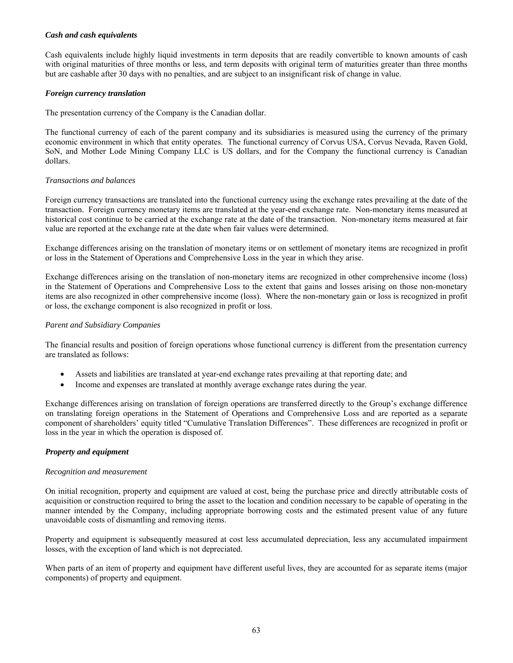# *Cash and cash equivalents*

Cash equivalents include highly liquid investments in term deposits that are readily convertible to known amounts of cash with original maturities of three months or less, and term deposits with original term of maturities greater than three months but are cashable after 30 days with no penalties, and are subject to an insignificant risk of change in value.

# *Foreign currency translation*

The presentation currency of the Company is the Canadian dollar.

The functional currency of each of the parent company and its subsidiaries is measured using the currency of the primary economic environment in which that entity operates. The functional currency of Corvus USA, Corvus Nevada, Raven Gold, SoN, and Mother Lode Mining Company LLC is US dollars, and for the Company the functional currency is Canadian dollars.

# *Transactions and balances*

Foreign currency transactions are translated into the functional currency using the exchange rates prevailing at the date of the transaction. Foreign currency monetary items are translated at the year-end exchange rate. Non-monetary items measured at historical cost continue to be carried at the exchange rate at the date of the transaction. Non-monetary items measured at fair value are reported at the exchange rate at the date when fair values were determined.

Exchange differences arising on the translation of monetary items or on settlement of monetary items are recognized in profit or loss in the Statement of Operations and Comprehensive Loss in the year in which they arise.

Exchange differences arising on the translation of non-monetary items are recognized in other comprehensive income (loss) in the Statement of Operations and Comprehensive Loss to the extent that gains and losses arising on those non-monetary items are also recognized in other comprehensive income (loss). Where the non-monetary gain or loss is recognized in profit or loss, the exchange component is also recognized in profit or loss.

# *Parent and Subsidiary Companies*

The financial results and position of foreign operations whose functional currency is different from the presentation currency are translated as follows:

- Assets and liabilities are translated at year-end exchange rates prevailing at that reporting date; and
- Income and expenses are translated at monthly average exchange rates during the year.

Exchange differences arising on translation of foreign operations are transferred directly to the Group's exchange difference on translating foreign operations in the Statement of Operations and Comprehensive Loss and are reported as a separate component of shareholders' equity titled "Cumulative Translation Differences". These differences are recognized in profit or loss in the year in which the operation is disposed of.

# *Property and equipment*

#### *Recognition and measurement*

On initial recognition, property and equipment are valued at cost, being the purchase price and directly attributable costs of acquisition or construction required to bring the asset to the location and condition necessary to be capable of operating in the manner intended by the Company, including appropriate borrowing costs and the estimated present value of any future unavoidable costs of dismantling and removing items.

Property and equipment is subsequently measured at cost less accumulated depreciation, less any accumulated impairment losses, with the exception of land which is not depreciated.

When parts of an item of property and equipment have different useful lives, they are accounted for as separate items (major components) of property and equipment.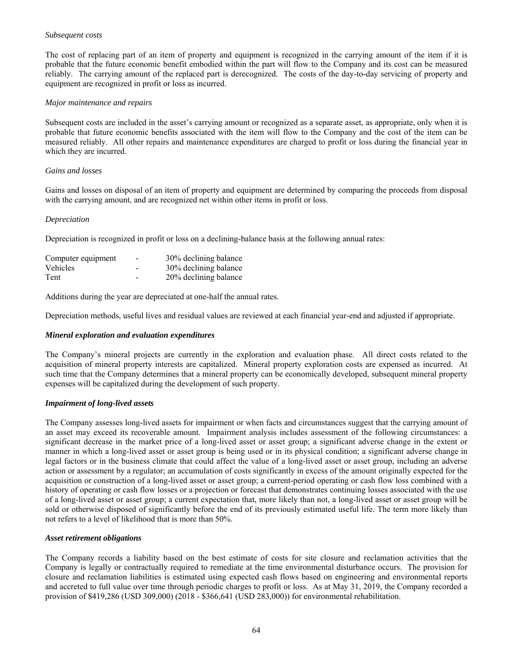## *Subsequent costs*

The cost of replacing part of an item of property and equipment is recognized in the carrying amount of the item if it is probable that the future economic benefit embodied within the part will flow to the Company and its cost can be measured reliably. The carrying amount of the replaced part is derecognized. The costs of the day-to-day servicing of property and equipment are recognized in profit or loss as incurred.

### *Major maintenance and repairs*

Subsequent costs are included in the asset's carrying amount or recognized as a separate asset, as appropriate, only when it is probable that future economic benefits associated with the item will flow to the Company and the cost of the item can be measured reliably. All other repairs and maintenance expenditures are charged to profit or loss during the financial year in which they are incurred.

# *Gains and losses*

Gains and losses on disposal of an item of property and equipment are determined by comparing the proceeds from disposal with the carrying amount, and are recognized net within other items in profit or loss.

# *Depreciation*

Depreciation is recognized in profit or loss on a declining-balance basis at the following annual rates:

| Computer equipment | $\overline{\phantom{a}}$ | 30% declining balance |
|--------------------|--------------------------|-----------------------|
| <b>Vehicles</b>    |                          | 30% declining balance |
| Tent               |                          | 20% declining balance |

Additions during the year are depreciated at one-half the annual rates.

Depreciation methods, useful lives and residual values are reviewed at each financial year-end and adjusted if appropriate.

### *Mineral exploration and evaluation expenditures*

The Company's mineral projects are currently in the exploration and evaluation phase. All direct costs related to the acquisition of mineral property interests are capitalized. Mineral property exploration costs are expensed as incurred. At such time that the Company determines that a mineral property can be economically developed, subsequent mineral property expenses will be capitalized during the development of such property.

# *Impairment of long-lived assets*

The Company assesses long-lived assets for impairment or when facts and circumstances suggest that the carrying amount of an asset may exceed its recoverable amount. Impairment analysis includes assessment of the following circumstances: a significant decrease in the market price of a long-lived asset or asset group; a significant adverse change in the extent or manner in which a long-lived asset or asset group is being used or in its physical condition; a significant adverse change in legal factors or in the business climate that could affect the value of a long-lived asset or asset group, including an adverse action or assessment by a regulator; an accumulation of costs significantly in excess of the amount originally expected for the acquisition or construction of a long-lived asset or asset group; a current-period operating or cash flow loss combined with a history of operating or cash flow losses or a projection or forecast that demonstrates continuing losses associated with the use of a long-lived asset or asset group; a current expectation that, more likely than not, a long-lived asset or asset group will be sold or otherwise disposed of significantly before the end of its previously estimated useful life. The term more likely than not refers to a level of likelihood that is more than 50%.

# *Asset retirement obligations*

The Company records a liability based on the best estimate of costs for site closure and reclamation activities that the Company is legally or contractually required to remediate at the time environmental disturbance occurs. The provision for closure and reclamation liabilities is estimated using expected cash flows based on engineering and environmental reports and accreted to full value over time through periodic charges to profit or loss. As at May 31, 2019, the Company recorded a provision of \$419,286 (USD 309,000) (2018 - \$366,641 (USD 283,000)) for environmental rehabilitation.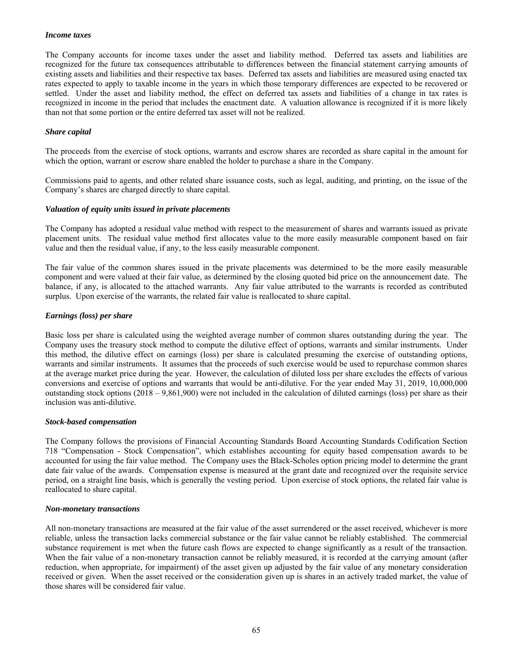### *Income taxes*

The Company accounts for income taxes under the asset and liability method. Deferred tax assets and liabilities are recognized for the future tax consequences attributable to differences between the financial statement carrying amounts of existing assets and liabilities and their respective tax bases. Deferred tax assets and liabilities are measured using enacted tax rates expected to apply to taxable income in the years in which those temporary differences are expected to be recovered or settled. Under the asset and liability method, the effect on deferred tax assets and liabilities of a change in tax rates is recognized in income in the period that includes the enactment date. A valuation allowance is recognized if it is more likely than not that some portion or the entire deferred tax asset will not be realized.

# *Share capital*

The proceeds from the exercise of stock options, warrants and escrow shares are recorded as share capital in the amount for which the option, warrant or escrow share enabled the holder to purchase a share in the Company.

Commissions paid to agents, and other related share issuance costs, such as legal, auditing, and printing, on the issue of the Company's shares are charged directly to share capital.

#### *Valuation of equity units issued in private placements*

The Company has adopted a residual value method with respect to the measurement of shares and warrants issued as private placement units. The residual value method first allocates value to the more easily measurable component based on fair value and then the residual value, if any, to the less easily measurable component.

The fair value of the common shares issued in the private placements was determined to be the more easily measurable component and were valued at their fair value, as determined by the closing quoted bid price on the announcement date. The balance, if any, is allocated to the attached warrants. Any fair value attributed to the warrants is recorded as contributed surplus. Upon exercise of the warrants, the related fair value is reallocated to share capital.

# *Earnings (loss) per share*

Basic loss per share is calculated using the weighted average number of common shares outstanding during the year. The Company uses the treasury stock method to compute the dilutive effect of options, warrants and similar instruments. Under this method, the dilutive effect on earnings (loss) per share is calculated presuming the exercise of outstanding options, warrants and similar instruments. It assumes that the proceeds of such exercise would be used to repurchase common shares at the average market price during the year. However, the calculation of diluted loss per share excludes the effects of various conversions and exercise of options and warrants that would be anti-dilutive. For the year ended May 31, 2019, 10,000,000 outstanding stock options  $(2018 - 9,861,900)$  were not included in the calculation of diluted earnings (loss) per share as their inclusion was anti-dilutive.

#### *Stock-based compensation*

The Company follows the provisions of Financial Accounting Standards Board Accounting Standards Codification Section 718 "Compensation - Stock Compensation", which establishes accounting for equity based compensation awards to be accounted for using the fair value method. The Company uses the Black-Scholes option pricing model to determine the grant date fair value of the awards. Compensation expense is measured at the grant date and recognized over the requisite service period, on a straight line basis, which is generally the vesting period. Upon exercise of stock options, the related fair value is reallocated to share capital.

#### *Non-monetary transactions*

All non-monetary transactions are measured at the fair value of the asset surrendered or the asset received, whichever is more reliable, unless the transaction lacks commercial substance or the fair value cannot be reliably established. The commercial substance requirement is met when the future cash flows are expected to change significantly as a result of the transaction. When the fair value of a non-monetary transaction cannot be reliably measured, it is recorded at the carrying amount (after reduction, when appropriate, for impairment) of the asset given up adjusted by the fair value of any monetary consideration received or given. When the asset received or the consideration given up is shares in an actively traded market, the value of those shares will be considered fair value.